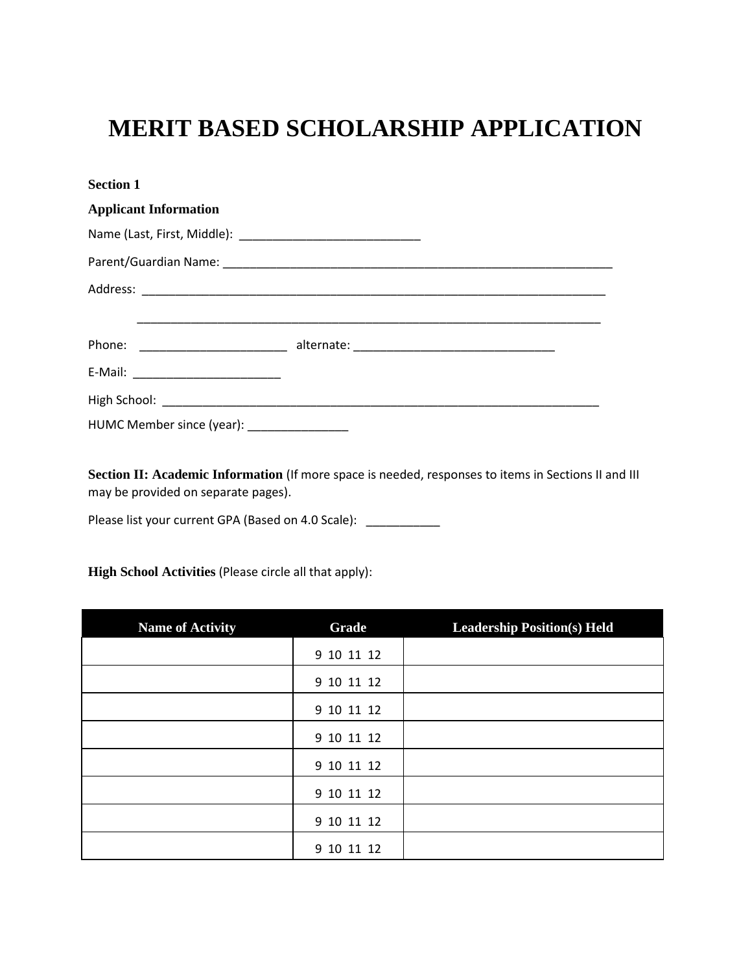# **MERIT BASED SCHOLARSHIP APPLICATION**

| <b>Section 1</b>                           |  |
|--------------------------------------------|--|
| <b>Applicant Information</b>               |  |
|                                            |  |
|                                            |  |
|                                            |  |
|                                            |  |
|                                            |  |
|                                            |  |
|                                            |  |
| HUMC Member since (year): ________________ |  |

**Section II: Academic Information** (If more space is needed, responses to items in Sections II and III may be provided on separate pages).

Please list your current GPA (Based on 4.0 Scale): \_\_\_\_\_\_\_\_\_\_\_\_

**High School Activities** (Please circle all that apply):

| <b>Name of Activity</b> | Grade      | <b>Leadership Position(s) Held</b> |
|-------------------------|------------|------------------------------------|
|                         | 9 10 11 12 |                                    |
|                         | 9 10 11 12 |                                    |
|                         | 9 10 11 12 |                                    |
|                         | 9 10 11 12 |                                    |
|                         | 9 10 11 12 |                                    |
|                         | 9 10 11 12 |                                    |
|                         | 9 10 11 12 |                                    |
|                         | 9 10 11 12 |                                    |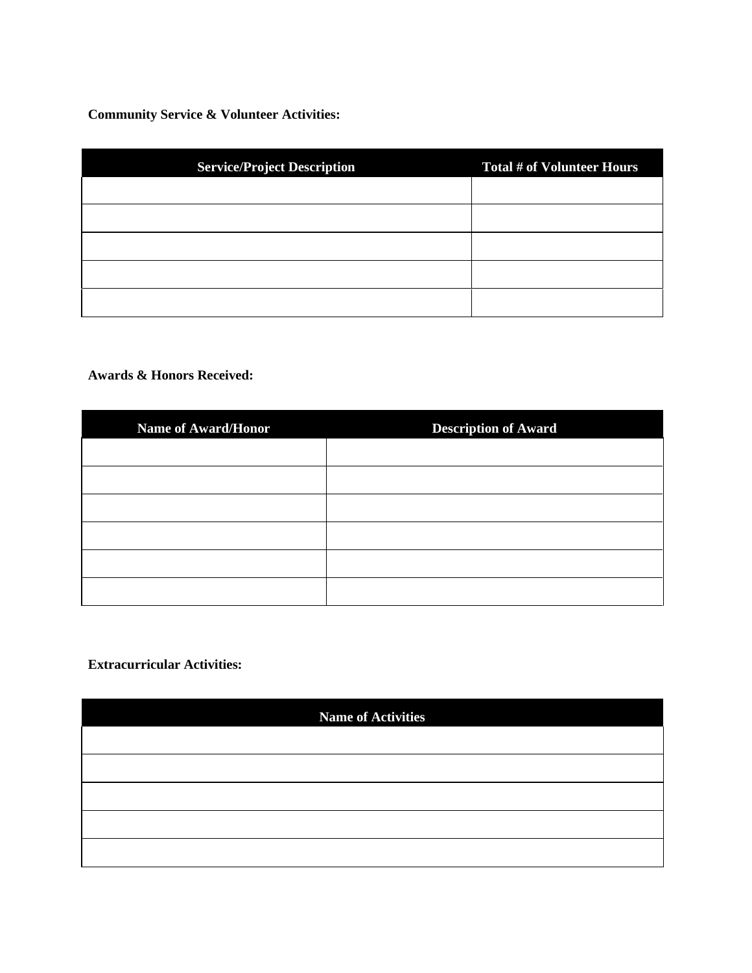**Community Service & Volunteer Activities:** 

| <b>Service/Project Description</b> | <b>Total # of Volunteer Hours</b> |
|------------------------------------|-----------------------------------|
|                                    |                                   |
|                                    |                                   |
|                                    |                                   |
|                                    |                                   |
|                                    |                                   |

## **Awards & Honors Received:**

| <b>Name of Award/Honor</b> | <b>Description of Award</b> |
|----------------------------|-----------------------------|
|                            |                             |
|                            |                             |
|                            |                             |
|                            |                             |
|                            |                             |
|                            |                             |

### **Extracurricular Activities:**

| <b>Name of Activities</b> |  |
|---------------------------|--|
|                           |  |
|                           |  |
|                           |  |
|                           |  |
|                           |  |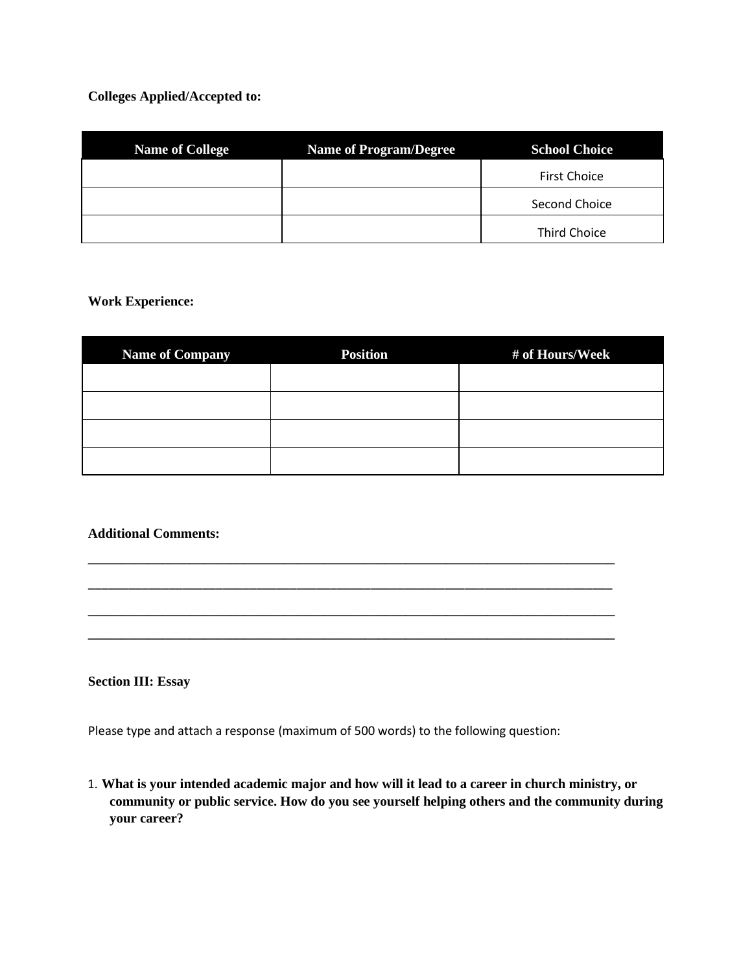## **Colleges Applied/Accepted to:**

| <b>Name of College</b> | <b>Name of Program/Degree</b> | <b>School Choice</b> |
|------------------------|-------------------------------|----------------------|
|                        |                               | <b>First Choice</b>  |
|                        |                               | Second Choice        |
|                        |                               | <b>Third Choice</b>  |

#### **Work Experience:**

| <b>Name of Company</b> | <b>Position</b> | # of Hours/Week |
|------------------------|-----------------|-----------------|
|                        |                 |                 |
|                        |                 |                 |
|                        |                 |                 |
|                        |                 |                 |

**\_\_\_\_\_\_\_\_\_\_\_\_\_\_\_\_\_\_\_\_\_\_\_\_\_\_\_\_\_\_\_\_\_\_\_\_\_\_\_\_\_\_\_\_\_\_\_\_\_\_\_\_\_\_\_\_\_\_\_\_\_\_\_\_\_\_\_\_\_\_\_\_\_\_\_\_\_\_** 

\_\_\_\_\_\_\_\_\_\_\_\_\_\_\_\_\_\_\_\_\_\_\_\_\_\_\_\_\_\_\_\_\_\_\_\_\_\_\_\_\_\_\_\_\_\_\_\_\_\_\_\_\_\_\_\_\_\_\_\_\_\_\_\_\_\_\_\_\_\_\_\_\_\_\_\_\_\_

**\_\_\_\_\_\_\_\_\_\_\_\_\_\_\_\_\_\_\_\_\_\_\_\_\_\_\_\_\_\_\_\_\_\_\_\_\_\_\_\_\_\_\_\_\_\_\_\_\_\_\_\_\_\_\_\_\_\_\_\_\_\_\_\_\_\_\_\_\_\_\_\_\_\_\_\_\_\_ \_\_\_\_\_\_\_\_\_\_\_\_\_\_\_\_\_\_\_\_\_\_\_\_\_\_\_\_\_\_\_\_\_\_\_\_\_\_\_\_\_\_\_\_\_\_\_\_\_\_\_\_\_\_\_\_\_\_\_\_\_\_\_\_\_\_\_\_\_\_\_\_\_\_\_\_\_\_** 

#### **Additional Comments:**

**Section III: Essay** 

Please type and attach a response (maximum of 500 words) to the following question:

1. **What is your intended academic major and how will it lead to a career in church ministry, or community or public service. How do you see yourself helping others and the community during your career?**